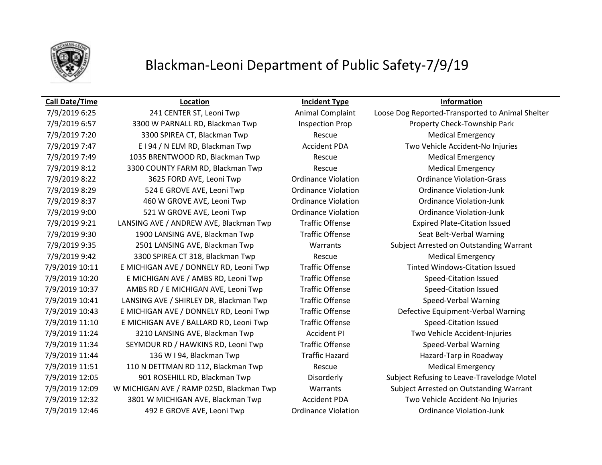

# Blackman-Leoni Department of Public Safety-7/9/19

## **Call Date/Time Location Incident Type Information**

7/9/2019 6:57 3300 W PARNALL RD, Blackman Twp Inspection Prop Property Check-Township Park 7/9/2019 7:20 3300 SPIREA CT, Blackman Twp Rescue Medical Emergency 7/9/2019 7:47 E I 94 / N ELM RD, Blackman Twp Accident PDA Two Vehicle Accident-No Injuries 7/9/2019 7:49 1035 BRENTWOOD RD, Blackman Twp Rescue Medical Emergency 7/9/2019 8:12 3300 COUNTY FARM RD, Blackman Twp Rescue Rescue Medical Emergency 7/9/2019 8:22 3625 FORD AVE, Leoni Twp Ordinance Violation Ordinance Violation-Grass 7/9/2019 8:29 524 E GROVE AVE, Leoni Twp Ordinance Violation Ordinance Violation-Junk 7/9/2019 8:37 460 W GROVE AVE, Leoni Twp Ordinance Violation Ordinance Violation-Junk 7/9/2019 9:00 521 W GROVE AVE, Leoni Twp Ordinance Violation Ordinance Violation-Junk 7/9/2019 9:21 LANSING AVE / ANDREW AVE, Blackman Twp Traffic Offense Expired Plate-Citation Issued 7/9/2019 9:30 1900 LANSING AVE, Blackman Twp Traffic Offense Seat Belt-Verbal Warning 7/9/2019 9:42 3300 SPIREA CT 318, Blackman Twp Rescue Medical Emergency 7/9/2019 10:11 E MICHIGAN AVE / DONNELY RD, Leoni Twp Traffic Offense Tinted Windows-Citation Issued 7/9/2019 10:20 E MICHIGAN AVE / AMBS RD, Leoni Twp Traffic Offense Speed-Citation Issued 7/9/2019 10:37 AMBS RD / E MICHIGAN AVE, Leoni Twp Traffic Offense Speed-Citation Issued 7/9/2019 10:41 LANSING AVE / SHIRLEY DR, Blackman Twp Traffic Offense Speed-Verbal Warning 7/9/2019 11:10 E MICHIGAN AVE / BALLARD RD, Leoni Twp Traffic Offense Speed-Citation Issued 7/9/2019 11:24 3210 LANSING AVE, Blackman Twp Accident PI Two Vehicle Accident-Injuries 7/9/2019 11:34 SEYMOUR RD / HAWKINS RD, Leoni Twp Traffic Offense Speed-Verbal Warning 7/9/2019 11:44 136 W I 94, Blackman Twp Traffic Hazard Hazard-Tarp in Roadway 7/9/2019 11:51 110 N DETTMAN RD 112, Blackman Twp Rescue Rescue Medical Emergency 7/9/2019 12:32 3801 W MICHIGAN AVE, Blackman Twp Accident PDA Two Vehicle Accident-No Injuries 7/9/2019 12:46 492 E GROVE AVE, Leoni Twp Ordinance Violation Ordinance Violation-Junk

7/9/2019 6:25 241 CENTER ST, Leoni Twp Animal Complaint Loose Dog Reported-Transported to Animal Shelter 7/9/2019 9:35 2501 LANSING AVE, Blackman Twp Warrants Subject Arrested on Outstanding Warrant 7/9/2019 10:43 E MICHIGAN AVE / DONNELY RD, Leoni Twp Traffic Offense Defective Equipment-Verbal Warning 7/9/2019 12:05 901 ROSEHILL RD, Blackman Twp Disorderly Subject Refusing to Leave-Travelodge Motel 7/9/2019 12:09 W MICHIGAN AVE / RAMP 025D, Blackman Twp Warrants Subject Arrested on Outstanding Warrant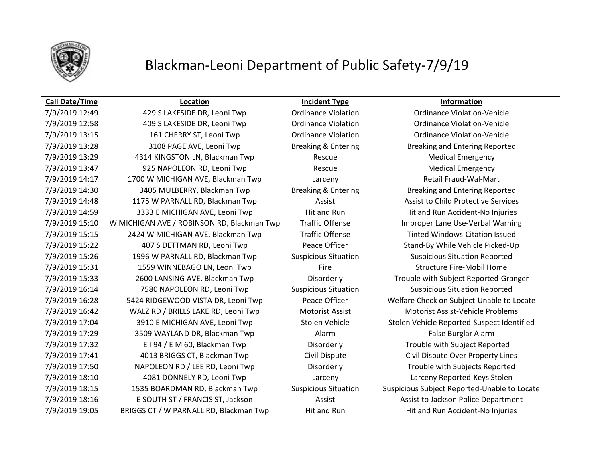

# Blackman-Leoni Department of Public Safety-7/9/19

## **Call Date/Time Location Incident Type Information**

7/9/2019 12:49 429 S LAKESIDE DR, Leoni Twp Crdinance Violation Crdinance Violation-Vehicle 7/9/2019 12:58 409 S LAKESIDE DR, Leoni Twp Ordinance Violation Ordinance Violation-Vehicle 7/9/2019 13:15 161 CHERRY ST, Leoni Twp Ordinance Violation Ordinance Violation-Vehicle 7/9/2019 13:28 3108 PAGE AVE, Leoni Twp Breaking & Entering Breaking and Entering Reported 7/9/2019 13:29 4314 KINGSTON LN, Blackman Twp Rescue Medical Emergency 7/9/2019 13:47 925 NAPOLEON RD, Leoni Twp Rescue Rescue Medical Emergency 7/9/2019 14:17 1700 W MICHIGAN AVE, Blackman Twp Larceny Larceny Retail Fraud-Wal-Mart 7/9/2019 14:30 3405 MULBERRY, Blackman Twp Breaking & Entering Breaking and Entering Reported 7/9/2019 14:48 1175 W PARNALL RD, Blackman Twp **Assist Assist Assist to Child Protective Services** 7/9/2019 14:59 3333 E MICHIGAN AVE, Leoni Twp Hit and Run Hit and Run Hit and Run Accident-No Injuries 7/9/2019 15:10 W MICHIGAN AVE / ROBINSON RD, Blackman Twp Traffic Offense Improper Lane Use-Verbal Warning 7/9/2019 15:15 2424 W MICHIGAN AVE, Blackman Twp Traffic Offense Tinted Windows-Citation Issued 7/9/2019 15:22 407 S DETTMAN RD, Leoni Twp Peace Officer Stand-By While Vehicle Picked-Up 7/9/2019 15:26 1996 W PARNALL RD, Blackman Twp Suspicious Situation Suspicious Situation Reported 7/9/2019 15:31 1559 WINNEBAGO LN, Leoni Twp Fire Fire Structure Fire-Mobil Home 7/9/2019 15:33 2600 LANSING AVE, Blackman Twp Disorderly Trouble with Subject Reported-Granger 7/9/2019 16:14 7580 NAPOLEON RD, Leoni Twp Suspicious Situation Suspicious Situation Reported 7/9/2019 16:28 5424 RIDGEWOOD VISTA DR, Leoni Twp Peace Officer Welfare Check on Subject-Unable to Locate 7/9/2019 16:42 WALZ RD / BRILLS LAKE RD, Leoni Twp Motorist Assist Motorist Assist-Vehicle Problems 7/9/2019 17:04 3910 E MICHIGAN AVE, Leoni Twp Stolen Vehicle Stolen Vehicle Reported-Suspect Identified 7/9/2019 17:29 3509 WAYLAND DR, Blackman Twp **Alarm Alarm False Burglar Alarm** False Burglar Alarm 7/9/2019 17:32 E I 94 / E M 60, Blackman Twp Disorderly Trouble with Subject Reported 7/9/2019 17:41 4013 BRIGGS CT, Blackman Twp Civil Dispute Civil Dispute Over Property Lines 7/9/2019 17:50 NAPOLEON RD / LEE RD, Leoni Twp Disorderly Trouble with Subjects Reported 7/9/2019 18:10 4081 DONNELY RD, Leoni Twp Larceny Larceny Reported-Keys Stolen 7/9/2019 18:15 1535 BOARDMAN RD, Blackman Twp Suspicious Situation Suspicious Subject Reported-Unable to Locate 7/9/2019 18:16 E SOUTH ST / FRANCIS ST, Jackson Assist Assist Assist to Jackson Police Department 7/9/2019 19:05 BRIGGS CT / W PARNALL RD, Blackman Twp Hit and Run Hit and Run Hit and Run Accident-No Injuries